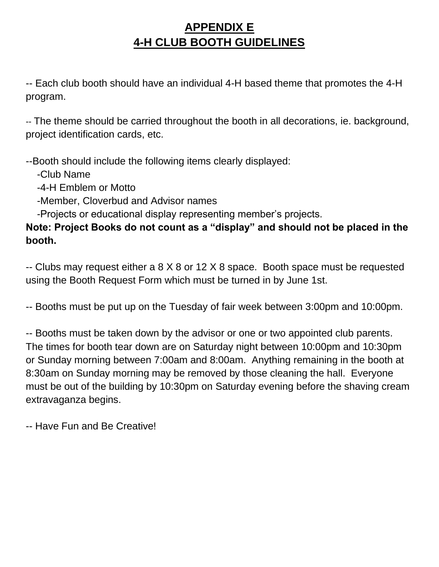## **APPENDIX E 4-H CLUB BOOTH GUIDELINES**

-- Each club booth should have an individual 4-H based theme that promotes the 4-H program.

-- The theme should be carried throughout the booth in all decorations, ie. background, project identification cards, etc.

--Booth should include the following items clearly displayed:

-Club Name

-4-H Emblem or Motto

-Member, Cloverbud and Advisor names

-Projects or educational display representing member's projects.

**Note: Project Books do not count as a "display" and should not be placed in the booth.**

-- Clubs may request either a 8 X 8 or 12 X 8 space. Booth space must be requested using the Booth Request Form which must be turned in by June 1st.

-- Booths must be put up on the Tuesday of fair week between 3:00pm and 10:00pm.

-- Booths must be taken down by the advisor or one or two appointed club parents. The times for booth tear down are on Saturday night between 10:00pm and 10:30pm or Sunday morning between 7:00am and 8:00am. Anything remaining in the booth at 8:30am on Sunday morning may be removed by those cleaning the hall. Everyone must be out of the building by 10:30pm on Saturday evening before the shaving cream extravaganza begins.

-- Have Fun and Be Creative!